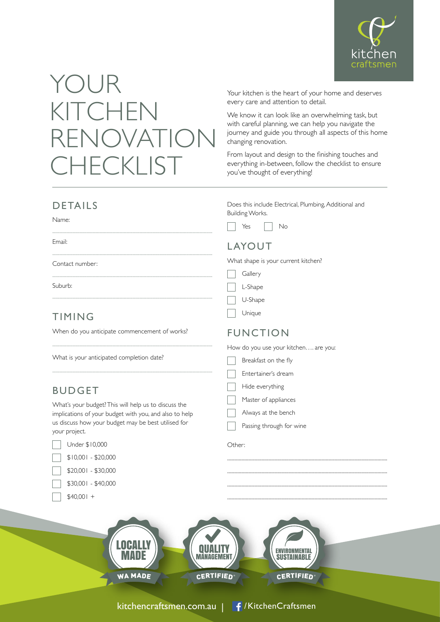

# YOUR KITCHEN RENOVATION **CHECKLIST**

Your kitchen is the heart of your home and deserves every care and attention to detail.

We know it can look like an overwhelming task, but with careful planning, we can help you navigate the journey and guide you through all aspects of this home changing renovation.

From layout and design to the finishing touches and everything in-between, follow the checklist to ensure you've thought of everything!

#### DETAILS

| Name: |  |
|-------|--|
|       |  |

Email:

 Contact number:

Suburb:

## TIMING

When do you anticipate commencement of works?

What is your anticipated completion date?

### BUDGET

What's your budget? This will help us to discuss the implications of your budget with you, and also to help us discuss how your budget may be best utilised for your project.

| Under \$10,000      |  |  |
|---------------------|--|--|
| $$10,001 - $20,000$ |  |  |
| \$20,001 - \$30,000 |  |  |

|  | \$30,001 - \$40,000 |
|--|---------------------|

 $$40,001 +$ 

Does this include Electrical, Plumbing, Additional and Building Works.

٦  $Yes \t No$ 

#### LAYOUT

What shape is your current kitchen?

| AP.<br><br>⊢<br>-<br><br>٠ |
|----------------------------|
|----------------------------|

| 1ar<br>я. |  |
|-----------|--|
|-----------|--|

| ıнı<br>١ι |
|-----------|
|-----------|

| Unique |  |  |  |
|--------|--|--|--|
|--------|--|--|--|

### FUNCTION

|  | How do you use your kitchen are you: |
|--|--------------------------------------|
|--|--------------------------------------|

| Breakfast on the fly |  |
|----------------------|--|
|----------------------|--|

| Entertainer's dream |  |
|---------------------|--|
|                     |  |

- Hide everything
- Master of appliances
- Always at the bench
- Passing through for wine

 

#### Other: